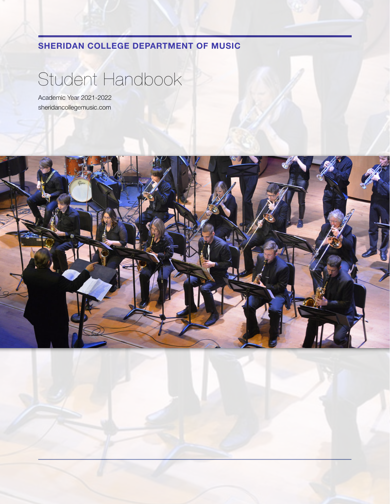**SHERIDAN COLLEGE DEPARTMENT OF MUSIC**

# Student Handbook

Academic Year 2021-2022 sheridancollegemusic.com

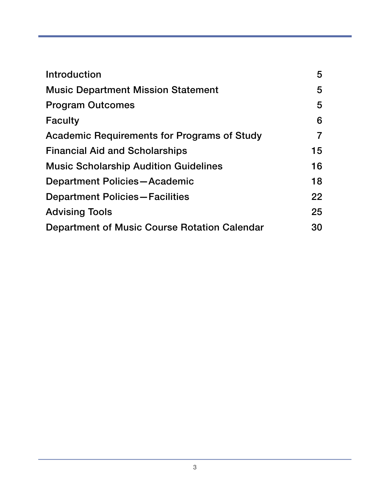| Introduction                                       | 5                 |
|----------------------------------------------------|-------------------|
| <b>Music Department Mission Statement</b>          | 5                 |
| <b>Program Outcomes</b>                            | 5                 |
| <b>Faculty</b>                                     | 6                 |
| <b>Academic Requirements for Programs of Study</b> | 7                 |
| <b>Financial Aid and Scholarships</b>              | 15                |
| <b>Music Scholarship Audition Guidelines</b>       | 16                |
| Department Policies-Academic                       | 18                |
| <b>Department Policies-Facilities</b>              | $22 \overline{)}$ |
| <b>Advising Tools</b>                              | 25                |
| Department of Music Course Rotation Calendar       | 30                |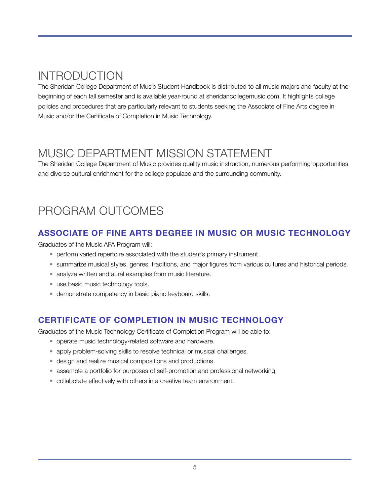## <span id="page-4-0"></span>INTRODUCTION

The Sheridan College Department of Music Student Handbook is distributed to all music majors and faculty at the beginning of each fall semester and is available year-round at sheridancollegemusic.com. It highlights college policies and procedures that are particularly relevant to students seeking the Associate of Fine Arts degree in Music and/or the Certificate of Completion in Music Technology.

## <span id="page-4-1"></span>MUSIC DEPARTMENT MISSION STATEMENT

The Sheridan College Department of Music provides quality music instruction, numerous performing opportunities, and diverse cultural enrichment for the college populace and the surrounding community.

## <span id="page-4-2"></span>PROGRAM OUTCOMES

## **ASSOCIATE OF FINE ARTS DEGREE IN MUSIC OR MUSIC TECHNOLOGY**

Graduates of the Music AFA Program will:

- perform varied repertoire associated with the student's primary instrument.
- summarize musical styles, genres, traditions, and major figures from various cultures and historical periods.
- analyze written and aural examples from music literature.
- use basic music technology tools.
- demonstrate competency in basic piano keyboard skills.

## **CERTIFICATE OF COMPLETION IN MUSIC TECHNOLOGY**

Graduates of the Music Technology Certificate of Completion Program will be able to:

- operate music technology-related software and hardware.
- apply problem-solving skills to resolve technical or musical challenges.
- design and realize musical compositions and productions.
- assemble a portfolio for purposes of self-promotion and professional networking.
- collaborate effectively with others in a creative team environment.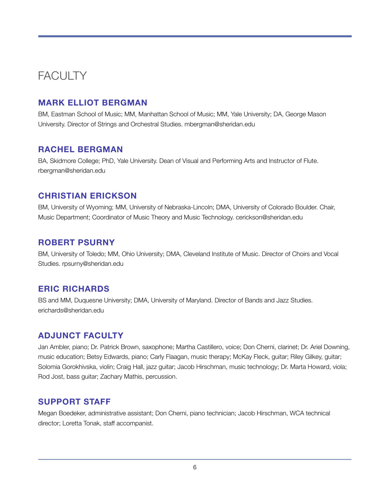## <span id="page-5-0"></span>**FACULTY**

## **MARK ELLIOT BERGMAN**

BM, Eastman School of Music; MM, Manhattan School of Music; MM, Yale University; DA, George Mason University. Director of Strings and Orchestral Studies. mbergman@sheridan.edu

### **RACHEL BERGMAN**

BA, Skidmore College; PhD, Yale University. Dean of Visual and Performing Arts and Instructor of Flute. rbergman@sheridan.edu

### **CHRISTIAN ERICKSON**

BM, University of Wyoming; MM, University of Nebraska-Lincoln; DMA, University of Colorado Boulder. Chair, Music Department; Coordinator of Music Theory and Music Technology. cerickson@sheridan.edu

### **ROBERT PSURNY**

BM, University of Toledo; MM, Ohio University; DMA, Cleveland Institute of Music. Director of Choirs and Vocal Studies. rpsurny@sheridan.edu

### **ERIC RICHARDS**

BS and MM, Duquesne University; DMA, University of Maryland. Director of Bands and Jazz Studies. erichards@sheridan.edu

### **ADJUNCT FACULTY**

Jan Ambler, piano; Dr. Patrick Brown, saxophone; Martha Castillero, voice; Don Cherni, clarinet; Dr. Ariel Downing, music education; Betsy Edwards, piano; Carly Flaagan, music therapy; McKay Fleck, guitar; Riley Gilkey, guitar; Solomia Gorokhivska, violin; Craig Hall, jazz guitar; Jacob Hirschman, music technology; Dr. Marta Howard, viola; Rod Jost, bass guitar; Zachary Mathis, percussion.

### **SUPPORT STAFF**

Megan Boedeker, administrative assistant; Don Cherni, piano technician; Jacob Hirschman, WCA technical director; Loretta Tonak, staff accompanist.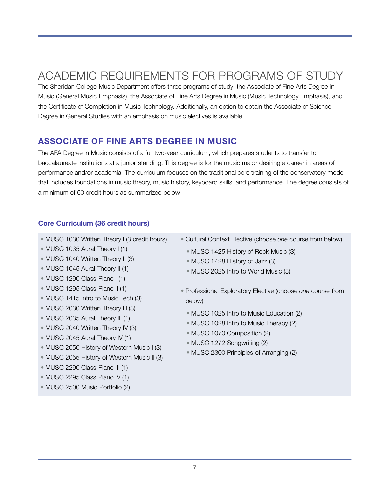## <span id="page-6-0"></span>ACADEMIC REQUIREMENTS FOR PROGRAMS OF STUDY

The Sheridan College Music Department offers three programs of study: the Associate of Fine Arts Degree in Music (General Music Emphasis), the Associate of Fine Arts Degree in Music (Music Technology Emphasis), and the Certificate of Completion in Music Technology. Additionally, an option to obtain the Associate of Science Degree in General Studies with an emphasis on music electives is available.

## **ASSOCIATE OF FINE ARTS DEGREE IN MUSIC**

The AFA Degree in Music consists of a full two-year curriculum, which prepares students to transfer to baccalaureate institutions at a junior standing. This degree is for the music major desiring a career in areas of performance and/or academia. The curriculum focuses on the traditional core training of the conservatory model that includes foundations in music theory, music history, keyboard skills, and performance. The degree consists of a minimum of 60 credit hours as summarized below:

#### **Core Curriculum (36 credit hours)**

- MUSC 1030 Written Theory I (3 credit hours)
- MUSC 1035 Aural Theory I (1)
- MUSC 1040 Written Theory II (3)
- MUSC 1045 Aural Theory II (1)
- MUSC 1290 Class Piano I (1)
- MUSC 1295 Class Piano II (1)
- MUSC 1415 Intro to Music Tech (3)
- MUSC 2030 Written Theory III (3)
- MUSC 2035 Aural Theory III (1)
- MUSC 2040 Written Theory IV (3)
- MUSC 2045 Aural Theory IV (1)
- MUSC 2050 History of Western Music I (3)
- MUSC 2055 History of Western Music II (3)
- MUSC 2290 Class Piano III (1)
- MUSC 2295 Class Piano IV (1)
- MUSC 2500 Music Portfolio (2)
- Cultural Context Elective (choose *one* course from below)
	- MUSC 1425 History of Rock Music (3)
	- MUSC 1428 History of Jazz (3)
	- MUSC 2025 Intro to World Music (3)
- Professional Exploratory Elective (choose *one* course from below)
	- MUSC 1025 Intro to Music Education (2)
	- MUSC 1028 Intro to Music Therapy (2)
	- MUSC 1070 Composition (2)
	- MUSC 1272 Songwriting (2)
	- MUSC 2300 Principles of Arranging (2)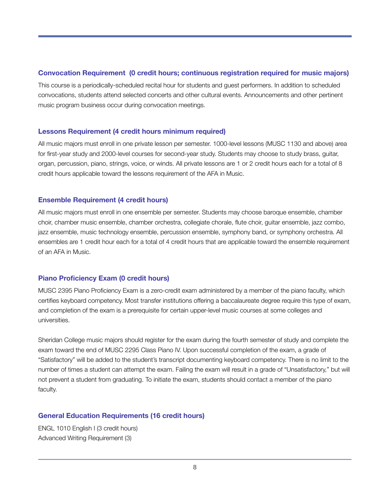#### **Convocation Requirement (0 credit hours; continuous registration required for music majors)**

This course is a periodically-scheduled recital hour for students and guest performers. In addition to scheduled convocations, students attend selected concerts and other cultural events. Announcements and other pertinent music program business occur during convocation meetings.

#### **Lessons Requirement (4 credit hours minimum required)**

All music majors must enroll in one private lesson per semester. 1000-level lessons (MUSC 1130 and above) area for first-year study and 2000-level courses for second-year study. Students may choose to study brass, guitar, organ, percussion, piano, strings, voice, or winds. All private lessons are 1 or 2 credit hours each for a total of 8 credit hours applicable toward the lessons requirement of the AFA in Music.

#### **Ensemble Requirement (4 credit hours)**

All music majors must enroll in one ensemble per semester. Students may choose baroque ensemble, chamber choir, chamber music ensemble, chamber orchestra, collegiate chorale, flute choir, guitar ensemble, jazz combo, jazz ensemble, music technology ensemble, percussion ensemble, symphony band, or symphony orchestra. All ensembles are 1 credit hour each for a total of 4 credit hours that are applicable toward the ensemble requirement of an AFA in Music.

#### **Piano Proficiency Exam (0 credit hours)**

MUSC 2395 Piano Proficiency Exam is a zero-credit exam administered by a member of the piano faculty, which certifies keyboard competency. Most transfer institutions offering a baccalaureate degree require this type of exam, and completion of the exam is a prerequisite for certain upper-level music courses at some colleges and universities.

Sheridan College music majors should register for the exam during the fourth semester of study and complete the exam toward the end of MUSC 2295 Class Piano IV. Upon successful completion of the exam, a grade of "Satisfactory" will be added to the student's transcript documenting keyboard competency. There is no limit to the number of times a student can attempt the exam. Failing the exam will result in a grade of "Unsatisfactory," but will not prevent a student from graduating. To initiate the exam, students should contact a member of the piano faculty.

#### **General Education Requirements (16 credit hours)**

ENGL 1010 English I (3 credit hours) Advanced Writing Requirement (3)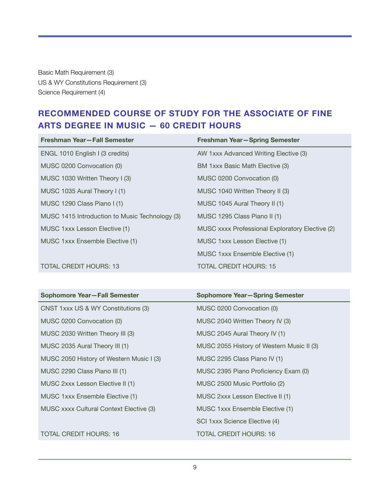Basic Math Requirement (3) US & WY Constitutions Requirement (3) Science Requirement (4)

## **RECOMMENDED COURSE OF STUDY FOR THE ASSOCIATE OF FINE ARTS DEGREE IN MUSIC — 60 CREDIT HOURS**

| Freshman Year-Fall Semester                    | <b>Freshman Year-Spring Semester</b>            |
|------------------------------------------------|-------------------------------------------------|
| ENGL 1010 English I (3 credits)                | AW 1xxx Advanced Writing Elective (3)           |
| MUSC 0200 Convocation (0)                      | BM 1xxx Basic Math Elective (3)                 |
| MUSC 1030 Written Theory I (3)                 | MUSC 0200 Convocation (0)                       |
| MUSC 1035 Aural Theory I (1)                   | MUSC 1040 Written Theory II (3)                 |
| MUSC 1290 Class Piano I (1)                    | MUSC 1045 Aural Theory II (1)                   |
| MUSC 1415 Introduction to Music Technology (3) | MUSC 1295 Class Piano II (1)                    |
| MUSC 1xxx Lesson Elective (1)                  | MUSC xxxx Professional Exploratory Elective (2) |
| MUSC 1xxx Ensemble Elective (1)                | MUSC 1xxx Lesson Elective (1)                   |
|                                                | MUSC 1xxx Ensemble Elective (1)                 |
| <b>TOTAL CREDIT HOURS: 13</b>                  | TOTAL CREDIT HOURS: 15                          |

| Sophomore Year-Fall Semester             | Sophomore Year-Spring Semester            |
|------------------------------------------|-------------------------------------------|
| CNST 1xxx US & WY Constitutions (3)      | MUSC 0200 Convocation (0)                 |
| MUSC 0200 Convocation (0)                | MUSC 2040 Written Theory IV (3)           |
| MUSC 2030 Written Theory III (3)         | MUSC 2045 Aural Theory IV (1)             |
| MUSC 2035 Aural Theory III (1)           | MUSC 2055 History of Western Music II (3) |
| MUSC 2050 History of Western Music I (3) | MUSC 2295 Class Piano IV (1)              |
| MUSC 2290 Class Piano III (1)            | MUSC 2395 Piano Proficiency Exam (0)      |
| MUSC 2xxx Lesson Elective II (1)         | MUSC 2500 Music Portfolio (2)             |
| MUSC 1xxx Ensemble Elective (1)          | MUSC 2xxx Lesson Elective II (1)          |
| MUSC xxxx Cultural Context Elective (3)  | MUSC 1xxx Ensemble Elective (1)           |
|                                          | SCI 1xxx Science Elective (4)             |
| <b>TOTAL CREDIT HOURS: 16</b>            | TOTAL CREDIT HOURS: 16                    |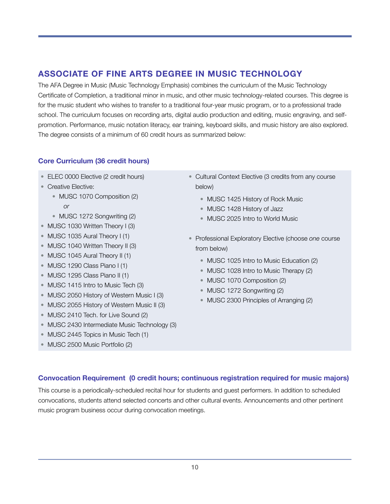## **ASSOCIATE OF FINE ARTS DEGREE IN MUSIC TECHNOLOGY**

The AFA Degree in Music (Music Technology Emphasis) combines the curriculum of the Music Technology Certificate of Completion, a traditional minor in music, and other music technology-related courses. This degree is for the music student who wishes to transfer to a traditional four-year music program, or to a professional trade school. The curriculum focuses on recording arts, digital audio production and editing, music engraving, and selfpromotion. Performance, music notation literacy, ear training, keyboard skills, and music history are also explored. The degree consists of a minimum of 60 credit hours as summarized below:

#### **Core Curriculum (36 credit hours)**

- ELEC 0000 Elective (2 credit hours)
- Creative Elective:
	- MUSC 1070 Composition (2) *or*
	- MUSC 1272 Songwriting (2)
- MUSC 1030 Written Theory I (3)
- MUSC 1035 Aural Theory I (1)
- MUSC 1040 Written Theory II (3)
- MUSC 1045 Aural Theory II (1)
- MUSC 1290 Class Piano I (1)
- MUSC 1295 Class Piano II (1)
- MUSC 1415 Intro to Music Tech (3)
- MUSC 2050 History of Western Music I (3)
- MUSC 2055 History of Western Music II (3)
- MUSC 2410 Tech. for Live Sound (2)
- MUSC 2430 Intermediate Music Technology (3)
- MUSC 2445 Topics in Music Tech (1)
- MUSC 2500 Music Portfolio (2)
- Cultural Context Elective (3 credits from any course below)
	- MUSC 1425 History of Rock Music
	- MUSC 1428 History of Jazz
	- MUSC 2025 Intro to World Music
- Professional Exploratory Elective (choose *one* course from below)
	- MUSC 1025 Intro to Music Education (2)
	- MUSC 1028 Intro to Music Therapy (2)
	- MUSC 1070 Composition (2)
	- MUSC 1272 Songwriting (2)
	- MUSC 2300 Principles of Arranging (2)

#### **Convocation Requirement (0 credit hours; continuous registration required for music majors)**

This course is a periodically-scheduled recital hour for students and guest performers. In addition to scheduled convocations, students attend selected concerts and other cultural events. Announcements and other pertinent music program business occur during convocation meetings.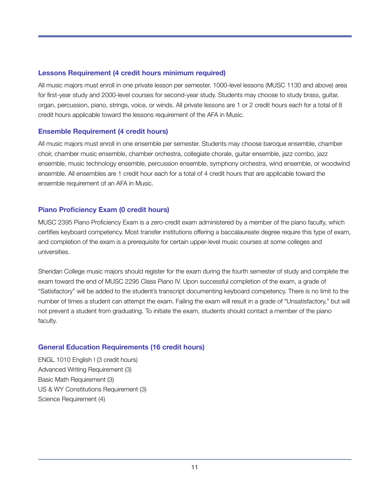#### **Lessons Requirement (4 credit hours minimum required)**

All music majors must enroll in one private lesson per semester. 1000-level lessons (MUSC 1130 and above) area for first-year study and 2000-level courses for second-year study. Students may choose to study brass, guitar, organ, percussion, piano, strings, voice, or winds. All private lessons are 1 or 2 credit hours each for a total of 8 credit hours applicable toward the lessons requirement of the AFA in Music.

#### **Ensemble Requirement (4 credit hours)**

All music majors must enroll in one ensemble per semester. Students may choose baroque ensemble, chamber choir, chamber music ensemble, chamber orchestra, collegiate chorale, guitar ensemble, jazz combo, jazz ensemble, music technology ensemble, percussion ensemble, symphony orchestra, wind ensemble, or woodwind ensemble. All ensembles are 1 credit hour each for a total of 4 credit hours that are applicable toward the ensemble requirement of an AFA in Music.

#### **Piano Proficiency Exam (0 credit hours)**

MUSC 2395 Piano Proficiency Exam is a zero-credit exam administered by a member of the piano faculty, which certifies keyboard competency. Most transfer institutions offering a baccalaureate degree require this type of exam, and completion of the exam is a prerequisite for certain upper-level music courses at some colleges and universities.

Sheridan College music majors should register for the exam during the fourth semester of study and complete the exam toward the end of MUSC 2295 Class Piano IV. Upon successful completion of the exam, a grade of "Satisfactory" will be added to the student's transcript documenting keyboard competency. There is no limit to the number of times a student can attempt the exam. Failing the exam will result in a grade of "Unsatisfactory," but will not prevent a student from graduating. To initiate the exam, students should contact a member of the piano faculty.

#### **General Education Requirements (16 credit hours)**

ENGL 1010 English I (3 credit hours) Advanced Writing Requirement (3) Basic Math Requirement (3) US & WY Constitutions Requirement (3) Science Requirement (4)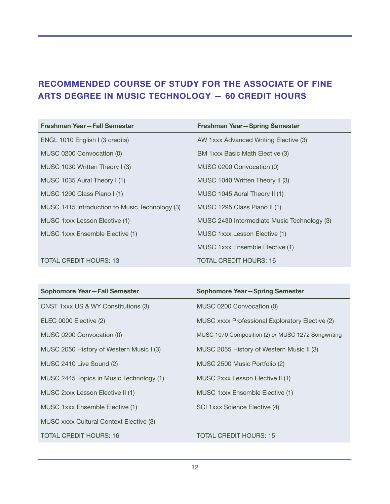## **RECOMMENDED COURSE OF STUDY FOR THE ASSOCIATE OF FINE ARTS DEGREE IN MUSIC TECHNOLOGY — 60 CREDIT HOURS**

| Freshman Year-Fall Semester                    | Freshman Year-Spring Semester               |
|------------------------------------------------|---------------------------------------------|
| ENGL 1010 English I (3 credits)                | AW 1xxx Advanced Writing Elective (3)       |
| MUSC 0200 Convocation (0)                      | BM 1xxx Basic Math Elective (3)             |
| MUSC 1030 Written Theory I (3)                 | MUSC 0200 Convocation (0)                   |
| MUSC 1035 Aural Theory I (1)                   | MUSC 1040 Written Theory II (3)             |
| MUSC 1290 Class Piano I (1)                    | MUSC 1045 Aural Theory II (1)               |
| MUSC 1415 Introduction to Music Technology (3) | MUSC 1295 Class Piano II (1)                |
| MUSC 1xxx Lesson Elective (1)                  | MUSC 2430 Intermediate Music Technology (3) |
| MUSC 1xxx Ensemble Elective (1)                | MUSC 1xxx Lesson Elective (1)               |
|                                                | MUSC 1xxx Ensemble Elective (1)             |
| <b>TOTAL CREDIT HOURS: 13</b>                  | <b>TOTAL CREDIT HOURS: 16</b>               |

| Sophomore Year-Fall Semester             | Sophomore Year-Spring Semester                     |
|------------------------------------------|----------------------------------------------------|
| CNST 1xxx US & WY Constitutions (3)      | MUSC 0200 Convocation (0)                          |
| ELEC 0000 Elective (2)                   | MUSC xxxx Professional Exploratory Elective (2)    |
| MUSC 0200 Convocation (0)                | MUSC 1070 Composition (2) or MUSC 1272 Songwriting |
| MUSC 2050 History of Western Music I (3) | MUSC 2055 History of Western Music II (3)          |
| MUSC 2410 Live Sound (2)                 | MUSC 2500 Music Portfolio (2)                      |
| MUSC 2445 Topics in Music Technology (1) | MUSC 2xxx Lesson Elective II (1)                   |
| MUSC 2xxx Lesson Elective II (1)         | MUSC 1xxx Ensemble Elective (1)                    |
| MUSC 1xxx Ensemble Elective (1)          | SCI 1xxx Science Elective (4)                      |
| MUSC xxxx Cultural Context Elective (3)  |                                                    |
| <b>TOTAL CREDIT HOURS: 16</b>            | <b>TOTAL CREDIT HOURS: 15</b>                      |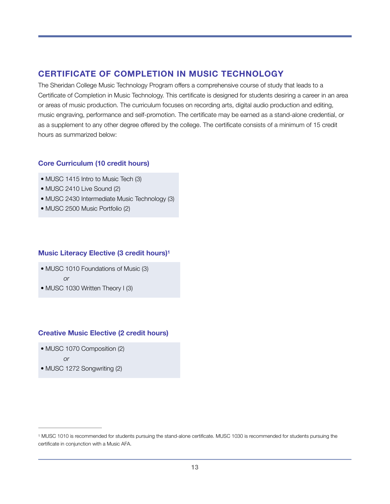### **CERTIFICATE OF COMPLETION IN MUSIC TECHNOLOGY**

The Sheridan College Music Technology Program offers a comprehensive course of study that leads to a Certificate of Completion in Music Technology. This certificate is designed for students desiring a career in an area or areas of music production. The curriculum focuses on recording arts, digital audio production and editing, music engraving, performance and self-promotion. The certificate may be earned as a stand-alone credential, or as a supplement to any other degree offered by the college. The certificate consists of a minimum of 15 credit hours as summarized below:

#### **Core Curriculum (10 credit hours)**

- MUSC 1415 Intro to Music Tech (3)
- MUSC 2410 Live Sound (2)
- MUSC 2430 Intermediate Music Technology (3)
- MUSC 2500 Music Portfolio (2)

#### **Music Literacy Elective (3 credit hours[\)1](#page-12-0)**

- <span id="page-12-1"></span>• MUSC 1010 Foundations of Music (3)
	- *or*
- MUSC 1030 Written Theory I (3)

#### **Creative Music Elective (2 credit hours)**

• MUSC 1070 Composition (2)

*or*

• MUSC 1272 Songwriting (2)

<span id="page-12-0"></span>MUSC 1010 is recommended for students pursuing the stand-alone certificate. MUSC 1030 is recommended for students pursuing the [1](#page-12-1) certificate in conjunction with a Music AFA.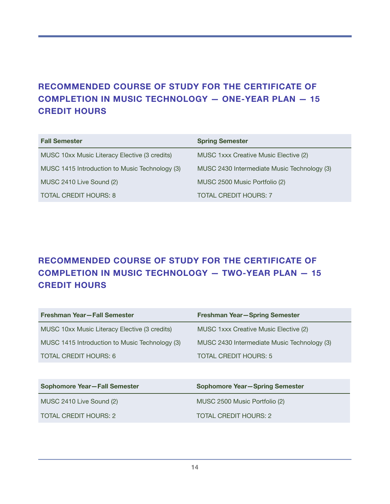## **RECOMMENDED COURSE OF STUDY FOR THE CERTIFICATE OF COMPLETION IN MUSIC TECHNOLOGY — ONE-YEAR PLAN — 15 CREDIT HOURS**

| <b>Fall Semester</b>                           | <b>Spring Semester</b>                      |
|------------------------------------------------|---------------------------------------------|
| MUSC 10xx Music Literacy Elective (3 credits)  | MUSC 1xxx Creative Music Elective (2)       |
| MUSC 1415 Introduction to Music Technology (3) | MUSC 2430 Intermediate Music Technology (3) |
| MUSC 2410 Live Sound (2)                       | MUSC 2500 Music Portfolio (2)               |
| <b>TOTAL CREDIT HOURS: 8</b>                   | <b>TOTAL CREDIT HOURS: 7</b>                |

## **RECOMMENDED COURSE OF STUDY FOR THE CERTIFICATE OF COMPLETION IN MUSIC TECHNOLOGY — TWO-YEAR PLAN — 15 CREDIT HOURS**

| Freshman Year-Fall Semester                    | <b>Freshman Year-Spring Semester</b>        |
|------------------------------------------------|---------------------------------------------|
| MUSC 10xx Music Literacy Elective (3 credits)  | MUSC 1xxx Creative Music Elective (2)       |
| MUSC 1415 Introduction to Music Technology (3) | MUSC 2430 Intermediate Music Technology (3) |
| TOTAL CREDIT HOURS: 6                          | <b>TOTAL CREDIT HOURS: 5</b>                |

| <b>Sophomore Year-Fall Semester</b> | <b>Sophomore Year-Spring Semester</b> |
|-------------------------------------|---------------------------------------|
| MUSC 2410 Live Sound (2)            | MUSC 2500 Music Portfolio (2)         |
| TOTAL CREDIT HOURS: 2               | TOTAL CREDIT HOURS: 2                 |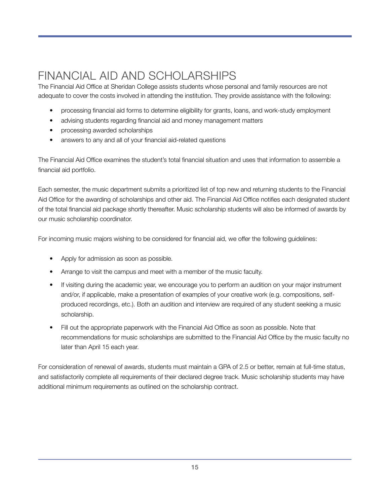## <span id="page-14-0"></span>FINANCIAL AID AND SCHOLARSHIPS

The Financial Aid Office at Sheridan College assists students whose personal and family resources are not adequate to cover the costs involved in attending the institution. They provide assistance with the following:

- processing financial aid forms to determine eligibility for grants, loans, and work-study employment
- advising students regarding financial aid and money management matters
- processing awarded scholarships
- answers to any and all of your financial aid-related questions

The Financial Aid Office examines the student's total financial situation and uses that information to assemble a financial aid portfolio.

Each semester, the music department submits a prioritized list of top new and returning students to the Financial Aid Office for the awarding of scholarships and other aid. The Financial Aid Office notifies each designated student of the total financial aid package shortly thereafter. Music scholarship students will also be informed of awards by our music scholarship coordinator.

For incoming music majors wishing to be considered for financial aid, we offer the following guidelines:

- Apply for admission as soon as possible.
- Arrange to visit the campus and meet with a member of the music faculty.
- If visiting during the academic year, we encourage you to perform an audition on your major instrument and/or, if applicable, make a presentation of examples of your creative work (e.g. compositions, selfproduced recordings, etc.). Both an audition and interview are required of any student seeking a music scholarship.
- Fill out the appropriate paperwork with the Financial Aid Office as soon as possible. Note that recommendations for music scholarships are submitted to the Financial Aid Office by the music faculty no later than April 15 each year.

For consideration of renewal of awards, students must maintain a GPA of 2.5 or better, remain at full-time status, and satisfactorily complete all requirements of their declared degree track. Music scholarship students may have additional minimum requirements as outlined on the scholarship contract.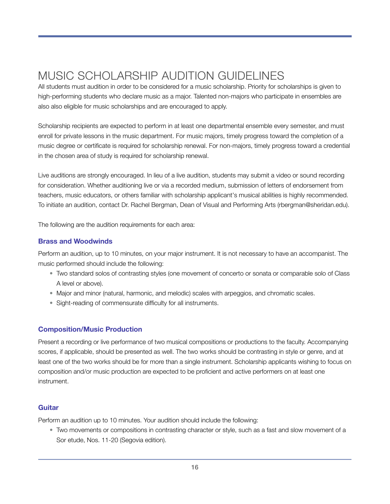## <span id="page-15-0"></span>MUSIC SCHOLARSHIP AUDITION GUIDELINES

All students must audition in order to be considered for a music scholarship. Priority for scholarships is given to high-performing students who declare music as a major. Talented non-majors who participate in ensembles are also also eligible for music scholarships and are encouraged to apply.

Scholarship recipients are expected to perform in at least one departmental ensemble every semester, and must enroll for private lessons in the music department. For music majors, timely progress toward the completion of a music degree or certificate is required for scholarship renewal. For non-majors, timely progress toward a credential in the chosen area of study is required for scholarship renewal.

Live auditions are strongly encouraged. In lieu of a live audition, students may submit a video or sound recording for consideration. Whether auditioning live or via a recorded medium, submission of letters of endorsement from teachers, music educators, or others familiar with scholarship applicant's musical abilities is highly recommended. To initiate an audition, contact Dr. Rachel Bergman, Dean of Visual and Performing Arts (rbergman@sheridan.edu).

The following are the audition requirements for each area:

#### **Brass and Woodwinds**

Perform an audition, up to 10 minutes, on your major instrument. It is not necessary to have an accompanist. The music performed should include the following:

- Two standard solos of contrasting styles (one movement of concerto or sonata or comparable solo of Class A level or above).
- Major and minor (natural, harmonic, and melodic) scales with arpeggios, and chromatic scales.
- Sight-reading of commensurate difficulty for all instruments.

#### **Composition/Music Production**

Present a recording or live performance of two musical compositions or productions to the faculty. Accompanying scores, if applicable, should be presented as well. The two works should be contrasting in style or genre, and at least one of the two works should be for more than a single instrument. Scholarship applicants wishing to focus on composition and/or music production are expected to be proficient and active performers on at least one instrument.

#### **Guitar**

Perform an audition up to 10 minutes. Your audition should include the following:

• Two movements or compositions in contrasting character or style, such as a fast and slow movement of a Sor etude, Nos. 11-20 (Segovia edition).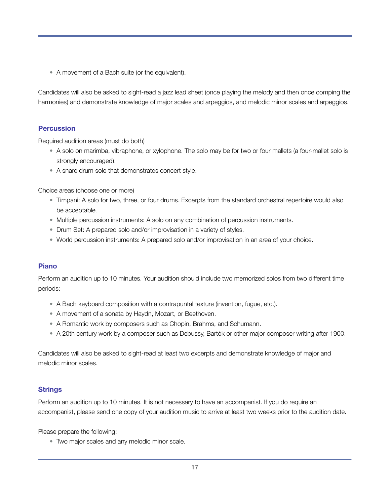• A movement of a Bach suite (or the equivalent).

Candidates will also be asked to sight-read a jazz lead sheet (once playing the melody and then once comping the harmonies) and demonstrate knowledge of major scales and arpeggios, and melodic minor scales and arpeggios.

#### **Percussion**

Required audition areas (must do both)

- A solo on marimba, vibraphone, or xylophone. The solo may be for two or four mallets (a four-mallet solo is strongly encouraged).
- A snare drum solo that demonstrates concert style.

Choice areas (choose one or more)

- Timpani: A solo for two, three, or four drums. Excerpts from the standard orchestral repertoire would also be acceptable.
- Multiple percussion instruments: A solo on any combination of percussion instruments.
- Drum Set: A prepared solo and/or improvisation in a variety of styles.
- World percussion instruments: A prepared solo and/or improvisation in an area of your choice.

#### **Piano**

Perform an audition up to 10 minutes. Your audition should include two memorized solos from two different time periods:

- A Bach keyboard composition with a contrapuntal texture (invention, fugue, etc.).
- A movement of a sonata by Haydn, Mozart, or Beethoven.
- A Romantic work by composers such as Chopin, Brahms, and Schumann.
- A 20th century work by a composer such as Debussy, Bartók or other major composer writing after 1900.

Candidates will also be asked to sight-read at least two excerpts and demonstrate knowledge of major and melodic minor scales.

#### **Strings**

Perform an audition up to 10 minutes. It is not necessary to have an accompanist. If you do require an accompanist, please send one copy of your audition music to arrive at least two weeks prior to the audition date.

Please prepare the following:

• Two major scales and any melodic minor scale.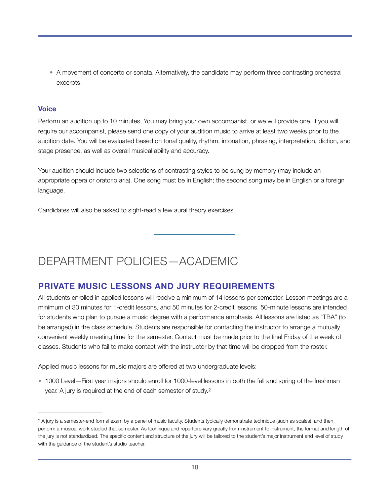• A movement of concerto or sonata. Alternatively, the candidate may perform three contrasting orchestral excerpts.

#### **Voice**

Perform an audition up to 10 minutes. You may bring your own accompanist, or we will provide one. If you will require our accompanist, please send one copy of your audition music to arrive at least two weeks prior to the audition date. You will be evaluated based on tonal quality, rhythm, intonation, phrasing, interpretation, diction, and stage presence, as well as overall musical ability and accuracy.

Your audition should include two selections of contrasting styles to be sung by memory (may include an appropriate opera or oratorio aria). One song must be in English; the second song may be in English or a foreign language.

Candidates will also be asked to sight-read a few aural theory exercises.

## <span id="page-17-0"></span>DEPARTMENT POLICIES—ACADEMIC

## **PRIVATE MUSIC LESSONS AND JURY REQUIREMENTS**

All students enrolled in applied lessons will receive a minimum of 14 lessons per semester. Lesson meetings are a minimum of 30 minutes for 1-credit lessons, and 50 minutes for 2-credit lessons. 50-minute lessons are intended for students who plan to pursue a music degree with a performance emphasis. All lessons are listed as "TBA" (to be arranged) in the class schedule. Students are responsible for contacting the instructor to arrange a mutually convenient weekly meeting time for the semester. Contact must be made prior to the final Friday of the week of classes. Students who fail to make contact with the instructor by that time will be dropped from the roster.

Applied music lessons for music majors are offered at two undergraduate levels:

<span id="page-17-2"></span>• 1000 Level—First year majors should enroll for 1000-level lessons in both the fall and spring of the freshman year. A jury is required at the end of each semester of study[.2](#page-17-1)

<span id="page-17-1"></span><sup>&</sup>lt;sup>2</sup>A jury is a semester-end formal exam by a panel of music faculty. Students typically demonstrate technique (such as scales), and then perform a musical work studied that semester. As technique and repertoire vary greatly from instrument to instrument, the format and length of the jury is not standardized. The specific content and structure of the jury will be tailored to the student's major instrument and level of study with the guidance of the student's studio teacher.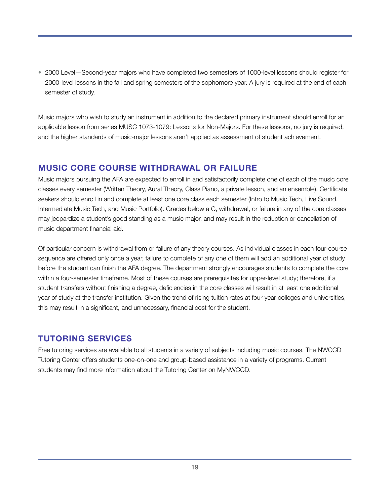• 2000 Level—Second-year majors who have completed two semesters of 1000-level lessons should register for 2000-level lessons in the fall and spring semesters of the sophomore year. A jury is required at the end of each semester of study.

Music majors who wish to study an instrument in addition to the declared primary instrument should enroll for an applicable lesson from series MUSC 1073-1079: Lessons for Non-Majors. For these lessons, no jury is required, and the higher standards of music-major lessons aren't applied as assessment of student achievement.

### **MUSIC CORE COURSE WITHDRAWAL OR FAILURE**

Music majors pursuing the AFA are expected to enroll in and satisfactorily complete one of each of the music core classes every semester (Written Theory, Aural Theory, Class Piano, a private lesson, and an ensemble). Certificate seekers should enroll in and complete at least one core class each semester (Intro to Music Tech, Live Sound, Intermediate Music Tech, and Music Portfolio). Grades below a C, withdrawal, or failure in any of the core classes may jeopardize a student's good standing as a music major, and may result in the reduction or cancellation of music department financial aid.

Of particular concern is withdrawal from or failure of any theory courses. As individual classes in each four-course sequence are offered only once a year, failure to complete of any one of them will add an additional year of study before the student can finish the AFA degree. The department strongly encourages students to complete the core within a four-semester timeframe. Most of these courses are prerequisites for upper-level study; therefore, if a student transfers without finishing a degree, deficiencies in the core classes will result in at least one additional year of study at the transfer institution. Given the trend of rising tuition rates at four-year colleges and universities, this may result in a significant, and unnecessary, financial cost for the student.

## **TUTORING SERVICES**

Free tutoring services are available to all students in a variety of subjects including music courses. The NWCCD Tutoring Center offers students one-on-one and group-based assistance in a variety of programs. Current students may find more information about the Tutoring Center on MyNWCCD.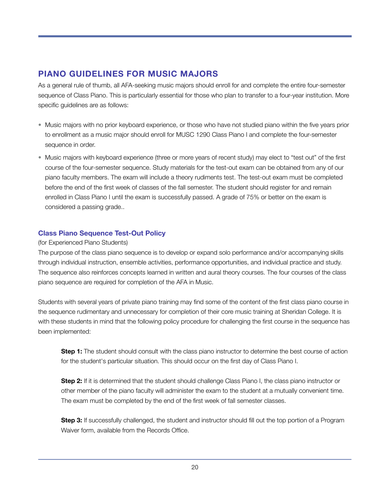### **PIANO GUIDELINES FOR MUSIC MAJORS**

As a general rule of thumb, all AFA-seeking music majors should enroll for and complete the entire four-semester sequence of Class Piano. This is particularly essential for those who plan to transfer to a four-year institution. More specific guidelines are as follows:

- Music majors with no prior keyboard experience, or those who have not studied piano within the five years prior to enrollment as a music major should enroll for MUSC 1290 Class Piano I and complete the four-semester sequence in order.
- Music majors with keyboard experience (three or more years of recent study) may elect to "test out" of the first course of the four-semester sequence. Study materials for the test-out exam can be obtained from any of our piano faculty members. The exam will include a theory rudiments test. The test-out exam must be completed before the end of the first week of classes of the fall semester. The student should register for and remain enrolled in Class Piano I until the exam is successfully passed. A grade of 75% or better on the exam is considered a passing grade..

#### **Class Piano Sequence Test-Out Policy**

#### (for Experienced Piano Students)

The purpose of the class piano sequence is to develop or expand solo performance and/or accompanying skills through individual instruction, ensemble activities, performance opportunities, and individual practice and study. The sequence also reinforces concepts learned in written and aural theory courses. The four courses of the class piano sequence are required for completion of the AFA in Music.

Students with several years of private piano training may find some of the content of the first class piano course in the sequence rudimentary and unnecessary for completion of their core music training at Sheridan College. It is with these students in mind that the following policy procedure for challenging the first course in the sequence has been implemented:

**Step 1:** The student should consult with the class piano instructor to determine the best course of action for the student's particular situation. This should occur on the first day of Class Piano I.

**Step 2:** If it is determined that the student should challenge Class Piano I, the class piano instructor or other member of the piano faculty will administer the exam to the student at a mutually convenient time. The exam must be completed by the end of the first week of fall semester classes.

**Step 3:** If successfully challenged, the student and instructor should fill out the top portion of a Program Waiver form, available from the Records Office.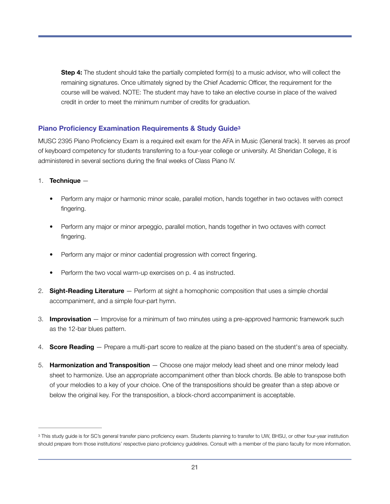<span id="page-20-1"></span>**Step 4:** The student should take the partially completed form(s) to a music advisor, who will collect the remaining signatures. Once ultimately signed by the Chief Academic Officer, the requirement for the course will be waived. NOTE: The student may have to take an elective course in place of the waived credit in order to meet the minimum number of credits for graduation.

#### **Piano Proficiency Examination Requirements & Study Guid[e3](#page-20-0)**

MUSC 2395 Piano Proficiency Exam is a required exit exam for the AFA in Music (General track). It serves as proof of keyboard competency for students transferring to a four-year college or university. At Sheridan College, it is administered in several sections during the final weeks of Class Piano IV.

#### 1. **Technique** —

- Perform any major or harmonic minor scale, parallel motion, hands together in two octaves with correct fingering.
- Perform any major or minor arpeggio, parallel motion, hands together in two octaves with correct fingering.
- Perform any major or minor cadential progression with correct fingering.
- Perform the two vocal warm-up exercises on p. 4 as instructed.
- 2. **Sight-Reading Literature** Perform at sight a homophonic composition that uses a simple chordal accompaniment, and a simple four-part hymn.
- 3. **Improvisation** Improvise for a minimum of two minutes using a pre-approved harmonic framework such as the 12-bar blues pattern.
- 4. **Score Reading** Prepare a multi-part score to realize at the piano based on the student's area of specialty.
- 5. **Harmonization and Transposition** Choose one major melody lead sheet and one minor melody lead sheet to harmonize. Use an appropriate accompaniment other than block chords. Be able to transpose both of your melodies to a key of your choice. One of the transpositions should be greater than a step above or below the original key. For the transposition, a block-chord accompaniment is acceptable.

<span id="page-20-0"></span><sup>&</sup>lt;sup>3</sup>This study guide is for SC's general transfer piano proficiency exam. Students planning to transfer to UW, BHSU, or other four-year institution should prepare from those institutions' respective piano proficiency guidelines. Consult with a member of the piano faculty for more information.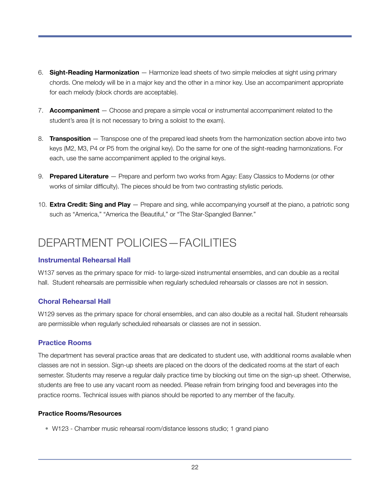- 6. **Sight-Reading Harmonization** Harmonize lead sheets of two simple melodies at sight using primary chords. One melody will be in a major key and the other in a minor key. Use an accompaniment appropriate for each melody (block chords are acceptable).
- 7. **Accompaniment** Choose and prepare a simple vocal or instrumental accompaniment related to the student's area (it is not necessary to bring a soloist to the exam).
- 8. **Transposition** Transpose one of the prepared lead sheets from the harmonization section above into two keys (M2, M3, P4 or P5 from the original key). Do the same for one of the sight-reading harmonizations. For each, use the same accompaniment applied to the original keys.
- 9. **Prepared Literature** Prepare and perform two works from Agay: Easy Classics to Moderns (or other works of similar difficulty). The pieces should be from two contrasting stylistic periods.
- 10. **Extra Credit: Sing and Play** Prepare and sing, while accompanying yourself at the piano, a patriotic song such as "America," "America the Beautiful," or "The Star-Spangled Banner."

## <span id="page-21-0"></span>DEPARTMENT POLICIES—FACILITIES

#### **Instrumental Rehearsal Hall**

W137 serves as the primary space for mid- to large-sized instrumental ensembles, and can double as a recital hall. Student rehearsals are permissible when regularly scheduled rehearsals or classes are not in session.

#### **Choral Rehearsal Hall**

W129 serves as the primary space for choral ensembles, and can also double as a recital hall. Student rehearsals are permissible when regularly scheduled rehearsals or classes are not in session.

#### **Practice Rooms**

The department has several practice areas that are dedicated to student use, with additional rooms available when classes are not in session. Sign-up sheets are placed on the doors of the dedicated rooms at the start of each semester. Students may reserve a regular daily practice time by blocking out time on the sign-up sheet. Otherwise, students are free to use any vacant room as needed. Please refrain from bringing food and beverages into the practice rooms. Technical issues with pianos should be reported to any member of the faculty.

#### **Practice Rooms/Resources**

• W123 - Chamber music rehearsal room/distance lessons studio; 1 grand piano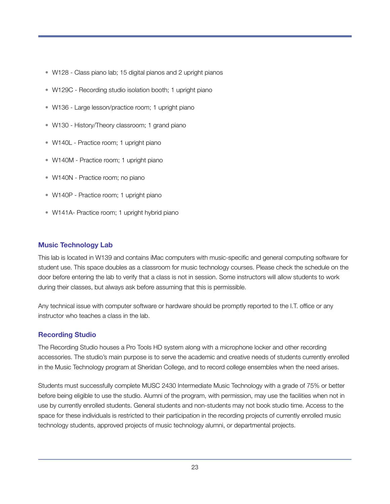- W128 Class piano lab; 15 digital pianos and 2 upright pianos
- W129C Recording studio isolation booth; 1 upright piano
- W136 Large lesson/practice room; 1 upright piano
- W130 History/Theory classroom; 1 grand piano
- W140L Practice room; 1 upright piano
- W140M Practice room; 1 upright piano
- W140N Practice room; no piano
- W140P Practice room; 1 upright piano
- W141A- Practice room; 1 upright hybrid piano

#### **Music Technology Lab**

This lab is located in W139 and contains iMac computers with music-specific and general computing software for student use. This space doubles as a classroom for music technology courses. Please check the schedule on the door before entering the lab to verify that a class is not in session. Some instructors will allow students to work during their classes, but always ask before assuming that this is permissible.

Any technical issue with computer software or hardware should be promptly reported to the I.T. office or any instructor who teaches a class in the lab.

#### **Recording Studio**

The Recording Studio houses a Pro Tools HD system along with a microphone locker and other recording accessories. The studio's main purpose is to serve the academic and creative needs of students currently enrolled in the Music Technology program at Sheridan College, and to record college ensembles when the need arises.

Students must successfully complete MUSC 2430 Intermediate Music Technology with a grade of 75% or better before being eligible to use the studio. Alumni of the program, with permission, may use the facilities when not in use by currently enrolled students. General students and non-students may not book studio time. Access to the space for these individuals is restricted to their participation in the recording projects of currently enrolled music technology students, approved projects of music technology alumni, or departmental projects.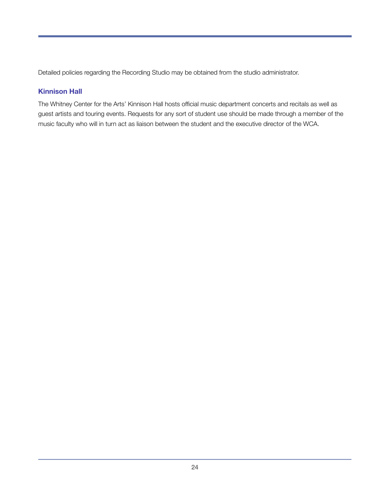Detailed policies regarding the Recording Studio may be obtained from the studio administrator.

#### **Kinnison Hall**

The Whitney Center for the Arts' Kinnison Hall hosts official music department concerts and recitals as well as guest artists and touring events. Requests for any sort of student use should be made through a member of the music faculty who will in turn act as liaison between the student and the executive director of the WCA.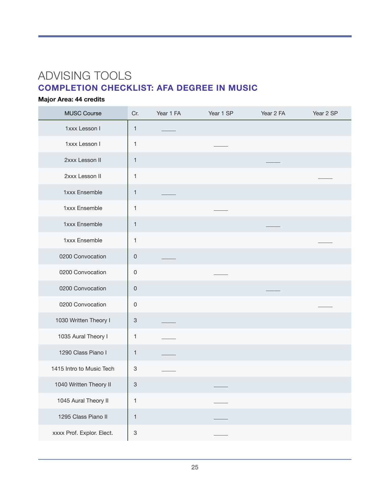## <span id="page-24-0"></span>ADVISING TOOLS **COMPLETION CHECKLIST: AFA DEGREE IN MUSIC**

#### **Major Area: 44 credits**

| <b>MUSC Course</b>        | Cr.                       | Year 1 FA | Year 1 SP | Year 2 FA | Year 2 SP |
|---------------------------|---------------------------|-----------|-----------|-----------|-----------|
| 1xxx Lesson I             | $\mathbf{1}$              |           |           |           |           |
| 1xxx Lesson I             | $\mathbf{1}$              |           |           |           |           |
| 2xxx Lesson II            | $\mathbf{1}$              |           |           |           |           |
| 2xxx Lesson II            | 1                         |           |           |           |           |
| 1xxx Ensemble             | 1                         |           |           |           |           |
| 1xxx Ensemble             | 1                         |           |           |           |           |
| 1xxx Ensemble             | $\mathbf{1}$              |           |           |           |           |
| 1xxx Ensemble             | 1                         |           |           |           |           |
| 0200 Convocation          | $\mathsf 0$               |           |           |           |           |
| 0200 Convocation          | $\mathsf 0$               |           |           |           |           |
| 0200 Convocation          | $\mathsf 0$               |           |           |           |           |
| 0200 Convocation          | $\mathsf 0$               |           |           |           |           |
| 1030 Written Theory I     | $\ensuremath{\mathsf{3}}$ |           |           |           |           |
| 1035 Aural Theory I       | 1                         |           |           |           |           |
| 1290 Class Piano I        | 1                         |           |           |           |           |
| 1415 Intro to Music Tech  | $\ensuremath{\mathsf{3}}$ |           |           |           |           |
| 1040 Written Theory II    | $\ensuremath{\mathsf{3}}$ |           |           |           |           |
| 1045 Aural Theory II      | 1                         |           |           |           |           |
| 1295 Class Piano II       | $\mathbf{1}$              |           |           |           |           |
| xxxx Prof. Explor. Elect. | $\ensuremath{\mathsf{3}}$ |           |           |           |           |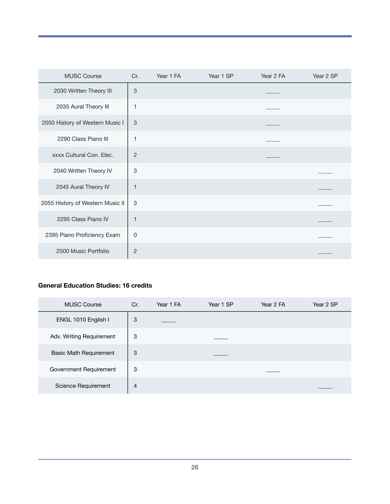| <b>MUSC Course</b>               | Cr.                       | Year 1 FA | Year 1 SP | Year 2 FA | Year 2 SP |
|----------------------------------|---------------------------|-----------|-----------|-----------|-----------|
| 2030 Written Theory III          | $\ensuremath{\mathsf{3}}$ |           |           |           |           |
| 2035 Aural Theory III            | 1                         |           |           |           |           |
| 2050 History of Western Music I  | $\mathfrak{S}$            |           |           |           |           |
| 2290 Class Piano III             | 1                         |           |           |           |           |
| xxxx Cultural Con. Elec.         | $\overline{c}$            |           |           |           |           |
| 2040 Written Theory IV           | 3                         |           |           |           |           |
| 2045 Aural Theory IV             | 1                         |           |           |           |           |
| 2055 History of Western Music II | 3                         |           |           |           |           |
| 2295 Class Piano IV              | 1                         |           |           |           |           |
| 2395 Piano Proficiency Exam      | $\mathbf 0$               |           |           |           |           |
| 2500 Music Portfolio             | $\overline{2}$            |           |           |           |           |

#### **General Education Studies: 16 credits**

| <b>MUSC Course</b>            | Cr. | Year 1 FA | Year 1 SP | Year 2 FA | Year 2 SP |
|-------------------------------|-----|-----------|-----------|-----------|-----------|
| ENGL 1010 English I           | 3   |           |           |           |           |
| Adv. Writing Requirement      | 3   |           |           |           |           |
| <b>Basic Math Requirement</b> | 3   |           |           |           |           |
| Government Requirement        | 3   |           |           |           |           |
| Science Requirement           | 4   |           |           |           |           |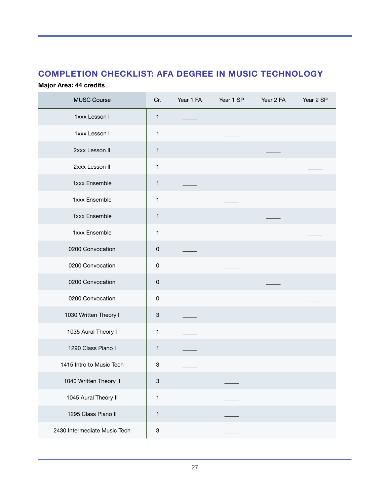## **COMPLETION CHECKLIST: AFA DEGREE IN MUSIC TECHNOLOGY**

#### **Major Area: 44 credits**

| <b>MUSC Course</b>           | Cr.                       | Year 1 FA | Year 1 SP | Year 2 FA | Year 2 SP |
|------------------------------|---------------------------|-----------|-----------|-----------|-----------|
| 1xxx Lesson I                | 1                         |           |           |           |           |
| 1xxx Lesson I                | 1                         |           |           |           |           |
| 2xxx Lesson II               | $\mathbf{1}$              |           |           |           |           |
| 2xxx Lesson II               | 1                         |           |           |           |           |
| 1xxx Ensemble                | 1                         |           |           |           |           |
| 1xxx Ensemble                | $\mathbf{1}$              |           |           |           |           |
| 1xxx Ensemble                | 1                         |           |           |           |           |
| 1xxx Ensemble                | 1                         |           |           |           |           |
| 0200 Convocation             | $\mathsf 0$               |           |           |           |           |
| 0200 Convocation             | $\mathsf 0$               |           |           |           |           |
| 0200 Convocation             | $\mathsf 0$               |           |           |           |           |
| 0200 Convocation             | $\mathsf 0$               |           |           |           |           |
| 1030 Written Theory I        | 3                         |           |           |           |           |
| 1035 Aural Theory I          | 1                         |           |           |           |           |
| 1290 Class Piano I           | 1                         |           |           |           |           |
| 1415 Intro to Music Tech     | $\ensuremath{\mathsf{3}}$ |           |           |           |           |
| 1040 Written Theory II       | 3                         |           |           |           |           |
| 1045 Aural Theory II         | $\mathbf{1}$              |           |           |           |           |
| 1295 Class Piano II          | 1                         |           |           |           |           |
| 2430 Intermediate Music Tech | $\ensuremath{\mathsf{3}}$ |           |           |           |           |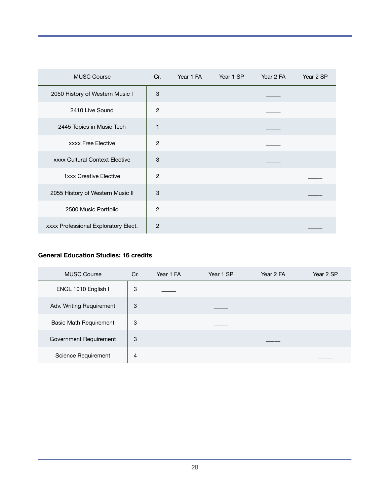| <b>MUSC Course</b>                    | Cr.            | Year 1 FA | Year 1 SP | Year 2 FA | Year 2 SP |
|---------------------------------------|----------------|-----------|-----------|-----------|-----------|
| 2050 History of Western Music I       | 3              |           |           |           |           |
| 2410 Live Sound                       | 2              |           |           |           |           |
| 2445 Topics in Music Tech             | 1              |           |           |           |           |
| <b>xxxx Free Elective</b>             | 2              |           |           |           |           |
| <b>xxxx Cultural Context Elective</b> | 3              |           |           |           |           |
| <b>1xxx Creative Elective</b>         | $\overline{2}$ |           |           |           |           |
| 2055 History of Western Music II      | 3              |           |           |           |           |
| 2500 Music Portfolio                  | $\overline{2}$ |           |           |           |           |
| xxxx Professional Exploratory Elect.  | $\overline{2}$ |           |           |           |           |

#### **General Education Studies: 16 credits**

| <b>MUSC Course</b>            | Cr.            | Year 1 FA | Year 1 SP | Year 2 FA | Year 2 SP |
|-------------------------------|----------------|-----------|-----------|-----------|-----------|
| ENGL 1010 English I           | 3              |           |           |           |           |
| Adv. Writing Requirement      | 3              |           |           |           |           |
| <b>Basic Math Requirement</b> | 3              |           |           |           |           |
| Government Requirement        | 3              |           |           |           |           |
| Science Requirement           | $\overline{4}$ |           |           |           |           |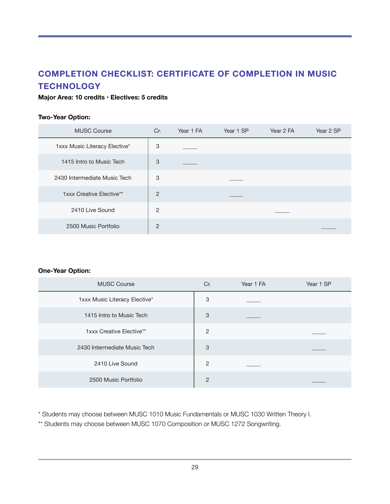## **COMPLETION CHECKLIST: CERTIFICATE OF COMPLETION IN MUSIC TECHNOLOGY**

#### **Major Area: 10 credits • Electives: 5 credits**

#### **Two-Year Option:**

| <b>MUSC Course</b>            | Cr.            | Year 1 FA | Year 1 SP | Year 2 FA | Year 2 SP |
|-------------------------------|----------------|-----------|-----------|-----------|-----------|
| 1xxx Music Literacy Elective* | 3              |           |           |           |           |
| 1415 Intro to Music Tech      | 3              |           |           |           |           |
| 2430 Intermediate Music Tech  | 3              |           |           |           |           |
| 1xxx Creative Elective**      | $\overline{2}$ |           |           |           |           |
| 2410 Live Sound               | $\overline{2}$ |           |           |           |           |
| 2500 Music Portfolio          | $\overline{2}$ |           |           |           |           |

#### **One-Year Option:**

| <b>MUSC Course</b>            | Cr.            | Year 1 FA | Year 1 SP |
|-------------------------------|----------------|-----------|-----------|
| 1xxx Music Literacy Elective* | 3              |           |           |
| 1415 Intro to Music Tech      | 3              |           |           |
| 1xxx Creative Elective**      | $\overline{2}$ |           |           |
| 2430 Intermediate Music Tech  | 3              |           |           |
| 2410 Live Sound               | 2              |           |           |
| 2500 Music Portfolio          | $\overline{2}$ |           |           |

\* Students may choose between MUSC 1010 Music Fundamentals or MUSC 1030 Written Theory I.

\*\* Students may choose between MUSC 1070 Composition or MUSC 1272 Songwriting.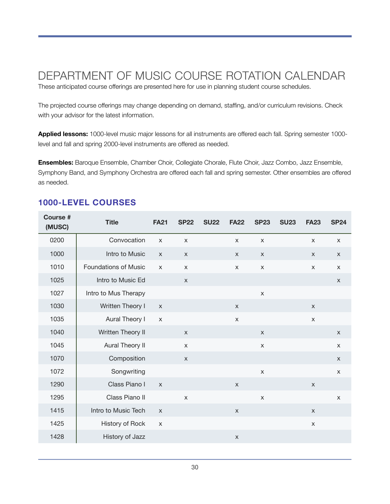## <span id="page-29-0"></span>DEPARTMENT OF MUSIC COURSE ROTATION CALENDAR

These anticipated course offerings are presented here for use in planning student course schedules.

The projected course offerings may change depending on demand, staffing, and/or curriculum revisions. Check with your advisor for the latest information.

**Applied lessons:** 1000-level music major lessons for all instruments are offered each fall. Spring semester 1000 level and fall and spring 2000-level instruments are offered as needed.

**Ensembles:** Baroque Ensemble, Chamber Choir, Collegiate Chorale, Flute Choir, Jazz Combo, Jazz Ensemble, Symphony Band, and Symphony Orchestra are offered each fall and spring semester. Other ensembles are offered as needed.

| <b>Course #</b><br>(MUSC) | <b>Title</b>                | <b>FA21</b>  | <b>SP22</b>    | <b>SU22</b> | <b>FA22</b>    | <b>SP23</b>    | <b>SU23</b> | <b>FA23</b>  | <b>SP24</b>  |
|---------------------------|-----------------------------|--------------|----------------|-------------|----------------|----------------|-------------|--------------|--------------|
| 0200                      | Convocation                 | $\mathsf{x}$ | $\mathsf{X}$   |             | $\mathsf{X}$   | $\pmb{\times}$ |             | X            | $\mathsf{x}$ |
| 1000                      | Intro to Music              | $\mathsf{X}$ | $\pmb{\times}$ |             | $\mathsf{X}$   | $\mathsf{X}$   |             | X            | $\mathsf X$  |
| 1010                      | <b>Foundations of Music</b> | $\mathsf{x}$ | $\mathsf{X}$   |             | X              | $\pmb{\times}$ |             | X            | $\mathsf{X}$ |
| 1025                      | Intro to Music Ed           |              | $\mathsf{X}$   |             |                |                |             |              | $\mathsf{X}$ |
| 1027                      | Intro to Mus Therapy        |              |                |             |                | $\mathsf X$    |             |              |              |
| 1030                      | Written Theory I            | $\mathsf{X}$ |                |             | $\mathsf{X}$   |                |             | $\mathsf{x}$ |              |
| 1035                      | Aural Theory I              | $\mathsf{X}$ |                |             | $\mathsf X$    |                |             | $\mathsf X$  |              |
| 1040                      | Written Theory II           |              | $\pmb{\times}$ |             |                | $\mathsf{X}$   |             |              | $\mathsf{X}$ |
| 1045                      | Aural Theory II             |              | $\mathsf{X}$   |             |                | $\pmb{\times}$ |             |              | $\mathsf{X}$ |
| 1070                      | Composition                 |              | $\mathsf{X}$   |             |                |                |             |              | $\mathsf X$  |
| 1072                      | Songwriting                 |              |                |             |                | $\mathsf{X}$   |             |              | $\mathsf{x}$ |
| 1290                      | Class Piano I               | $\mathsf{X}$ |                |             | $\mathsf{X}$   |                |             | X            |              |
| 1295                      | Class Piano II              |              | $\mathsf{X}$   |             |                | $\pmb{\times}$ |             |              | $\mathsf{X}$ |
| 1415                      | Intro to Music Tech         | $\mathsf{x}$ |                |             | $\mathsf{X}$   |                |             | $\mathsf{X}$ |              |
| 1425                      | History of Rock             | $\mathsf{X}$ |                |             |                |                |             | $\mathsf X$  |              |
| 1428                      | History of Jazz             |              |                |             | $\pmb{\times}$ |                |             |              |              |

## **1000-LEVEL COURSES**